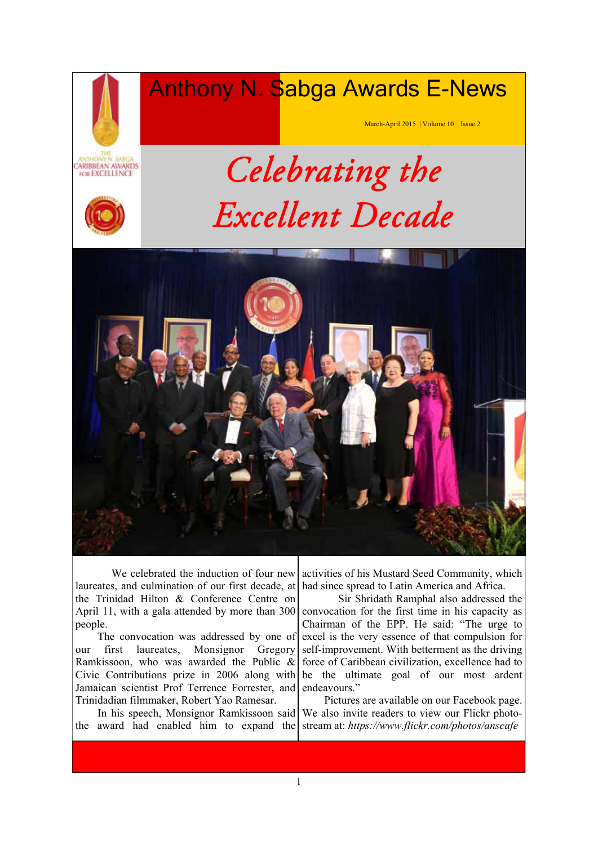# Anthony N. Sabga Awards E-News

March-April 2015 | Volume 10 | Issue 2



# *Celebrating the Excellent Decade*



 We celebrated the induction of four new laureates, and culmination of our first decade, at the Trinidad Hilton & Conference Centre on April 11, with a gala attended by more than 300 people.

 The convocation was addressed by one of our first laureates, Monsignor Gregory Ramkissoon, who was awarded the Public & Civic Contributions prize in 2006 along with Jamaican scientist Prof Terrence Forrester, and Trinidadian filmmaker, Robert Yao Ramesar.

 In his speech, Monsignor Ramkissoon said the award had enabled him to expand the

activities of his Mustard Seed Community, which had since spread to Latin America and Africa.

 Sir Shridath Ramphal also addressed the convocation for the first time in his capacity as Chairman of the EPP. He said: "The urge to excel is the very essence of that compulsion for self-improvement. With betterment as the driving force of Caribbean civilization, excellence had to be the ultimate goal of our most ardent endeavours."

 Pictures are available on our Facebook page. We also invite readers to view our Flickr photostream at: *https://www.flickr.com/photos/anscafe*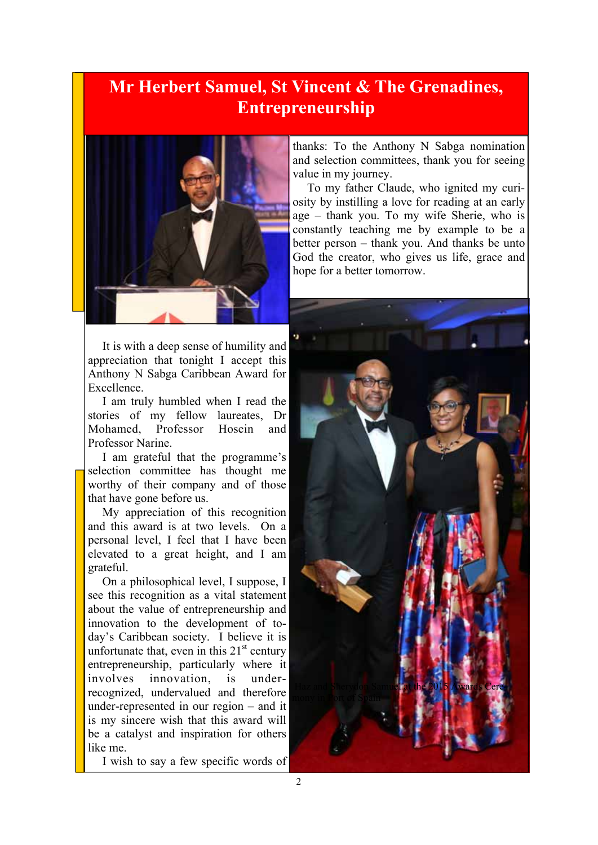#### **Mr Herbert Samuel, St Vincent & The Grenadines, Entrepreneurship**



It is with a deep sense of humility and appreciation that tonight I accept this Anthony N Sabga Caribbean Award for Excellence.

I am truly humbled when I read the stories of my fellow laureates, Dr Mohamed, Professor Hosein and Professor Narine.

I am grateful that the programme's selection committee has thought me worthy of their company and of those that have gone before us.

My appreciation of this recognition and this award is at two levels. On a personal level, I feel that I have been elevated to a great height, and I am grateful.

On a philosophical level, I suppose, I see this recognition as a vital statement about the value of entrepreneurship and innovation to the development of today's Caribbean society. I believe it is unfortunate that, even in this  $21<sup>st</sup>$  century entrepreneurship, particularly where it involves innovation, is underrecognized, undervalued and therefore under-represented in our region – and it is my sincere wish that this award will be a catalyst and inspiration for others like me.

I wish to say a few specific words of

thanks: To the Anthony N Sabga nomination and selection committees, thank you for seeing value in my journey.

To my father Claude, who ignited my curiosity by instilling a love for reading at an early age – thank you. To my wife Sherie, who is constantly teaching me by example to be a better person – thank you. And thanks be unto God the creator, who gives us life, grace and hope for a better tomorrow.

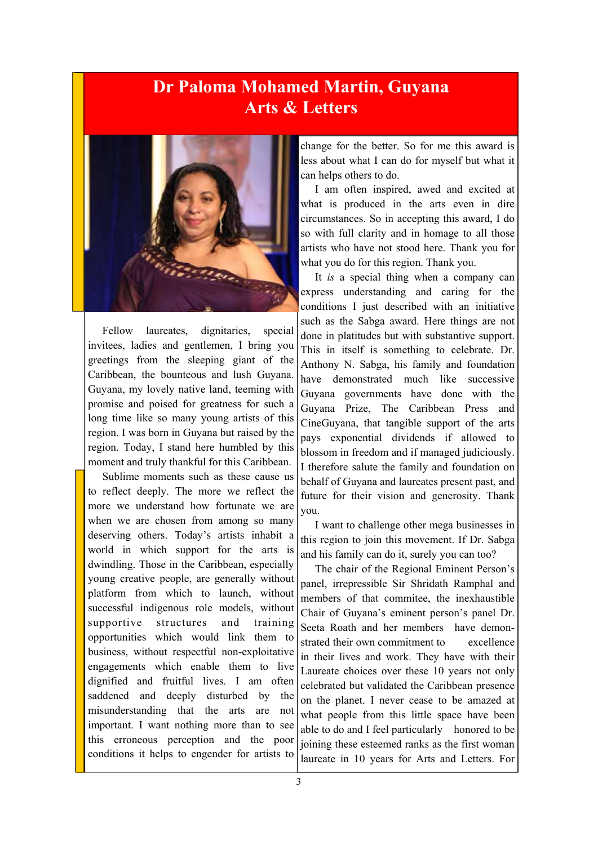#### **Dr Paloma Mohamed Martin, Guyana Arts & Letters**



Fellow laureates, dignitaries, special invitees, ladies and gentlemen, I bring you greetings from the sleeping giant of the Caribbean, the bounteous and lush Guyana. Guyana, my lovely native land, teeming with promise and poised for greatness for such a long time like so many young artists of this region. I was born in Guyana but raised by the region. Today, I stand here humbled by this moment and truly thankful for this Caribbean.

Sublime moments such as these cause us to reflect deeply. The more we reflect the more we understand how fortunate we are when we are chosen from among so many deserving others. Today's artists inhabit a world in which support for the arts is dwindling. Those in the Caribbean, especially young creative people, are generally without platform from which to launch, without successful indigenous role models, without supportive structures and training opportunities which would link them to business, without respectful non-exploitative engagements which enable them to live dignified and fruitful lives. I am often saddened and deeply disturbed by the misunderstanding that the arts are not important. I want nothing more than to see this erroneous perception and the poor conditions it helps to engender for artists to

change for the better. So for me this award is less about what I can do for myself but what it can helps others to do.

I am often inspired, awed and excited at what is produced in the arts even in dire circumstances. So in accepting this award, I do so with full clarity and in homage to all those artists who have not stood here. Thank you for what you do for this region. Thank you.

It *is* a special thing when a company can express understanding and caring for the conditions I just described with an initiative such as the Sabga award. Here things are not done in platitudes but with substantive support. This in itself is something to celebrate. Dr. Anthony N. Sabga, his family and foundation have demonstrated much like successive Guyana governments have done with the Guyana Prize, The Caribbean Press and CineGuyana, that tangible support of the arts pays exponential dividends if allowed to blossom in freedom and if managed judiciously. I therefore salute the family and foundation on behalf of Guyana and laureates present past, and future for their vision and generosity. Thank you.

I want to challenge other mega businesses in this region to join this movement. If Dr. Sabga and his family can do it, surely you can too?

The chair of the Regional Eminent Person's panel, irrepressible Sir Shridath Ramphal and members of that commitee, the inexhaustible Chair of Guyana's eminent person's panel Dr. Seeta Roath and her members have demonstrated their own commitment to excellence in their lives and work. They have with their Laureate choices over these 10 years not only celebrated but validated the Caribbean presence on the planet. I never cease to be amazed at what people from this little space have been able to do and I feel particularly honored to be joining these esteemed ranks as the first woman laureate in 10 years for Arts and Letters. For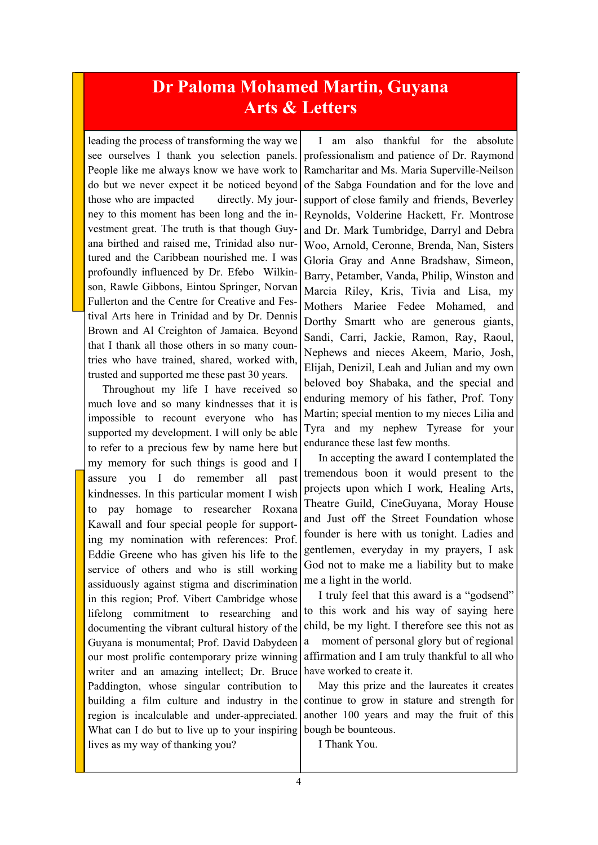#### **Dr Paloma Mohamed Martin, Guyana Arts & Letters**

leading the process of transforming the way we see ourselves I thank you selection panels. People like me always know we have work to do but we never expect it be noticed beyond those who are impacted directly. My journey to this moment has been long and the investment great. The truth is that though Guyana birthed and raised me, Trinidad also nurtured and the Caribbean nourished me. I was profoundly influenced by Dr. Efebo Wilkinson, Rawle Gibbons, Eintou Springer, Norvan Fullerton and the Centre for Creative and Festival Arts here in Trinidad and by Dr. Dennis Brown and Al Creighton of Jamaica. Beyond that I thank all those others in so many countries who have trained, shared, worked with, trusted and supported me these past 30 years.

Throughout my life I have received so much love and so many kindnesses that it is impossible to recount everyone who has supported my development. I will only be able to refer to a precious few by name here but my memory for such things is good and I assure you I do remember all past kindnesses. In this particular moment I wish to pay homage to researcher Roxana Kawall and four special people for supporting my nomination with references: Prof. Eddie Greene who has given his life to the service of others and who is still working assiduously against stigma and discrimination in this region; Prof. Vibert Cambridge whose lifelong commitment to researching and documenting the vibrant cultural history of the Guyana is monumental; Prof. David Dabydeen our most prolific contemporary prize winning writer and an amazing intellect; Dr. Bruce Paddington, whose singular contribution to building a film culture and industry in the region is incalculable and under-appreciated. What can I do but to live up to your inspiring lives as my way of thanking you?

I am also thankful for the absolute professionalism and patience of Dr. Raymond Ramcharitar and Ms. Maria Superville-Neilson of the Sabga Foundation and for the love and support of close family and friends, Beverley Reynolds, Volderine Hackett, Fr. Montrose and Dr. Mark Tumbridge, Darryl and Debra Woo, Arnold, Ceronne, Brenda, Nan, Sisters Gloria Gray and Anne Bradshaw, Simeon, Barry, Petamber, Vanda, Philip, Winston and Marcia Riley, Kris, Tivia and Lisa, my Mothers Mariee Fedee Mohamed, and Dorthy Smartt who are generous giants, Sandi, Carri, Jackie, Ramon, Ray, Raoul, Nephews and nieces Akeem, Mario, Josh, Elijah, Denizil, Leah and Julian and my own beloved boy Shabaka, and the special and enduring memory of his father, Prof. Tony Martin; special mention to my nieces Lilia and Tyra and my nephew Tyrease for your endurance these last few months.

In accepting the award I contemplated the tremendous boon it would present to the projects upon which I work*,* Healing Arts, Theatre Guild, CineGuyana, Moray House and Just off the Street Foundation whose founder is here with us tonight. Ladies and gentlemen, everyday in my prayers, I ask God not to make me a liability but to make me a light in the world.

I truly feel that this award is a "godsend" to this work and his way of saying here child, be my light. I therefore see this not as a moment of personal glory but of regional affirmation and I am truly thankful to all who have worked to create it.

May this prize and the laureates it creates continue to grow in stature and strength for another 100 years and may the fruit of this bough be bounteous.

I Thank You.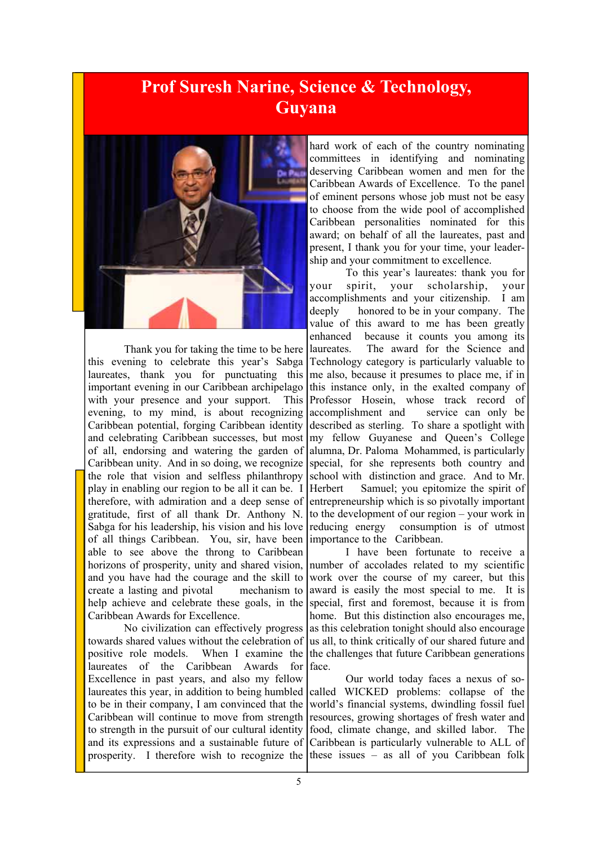#### **Prof Suresh Narine, Science & Technology, Guyana**



Thank you for taking the time to be here this evening to celebrate this year's Sabga laureates, thank you for punctuating this important evening in our Caribbean archipelago with your presence and your support. This evening, to my mind, is about recognizing Caribbean potential, forging Caribbean identity and celebrating Caribbean successes, but most of all, endorsing and watering the garden of Caribbean unity. And in so doing, we recognize the role that vision and selfless philanthropy play in enabling our region to be all it can be. I therefore, with admiration and a deep sense of gratitude, first of all thank Dr. Anthony N. Sabga for his leadership, his vision and his love of all things Caribbean. You, sir, have been able to see above the throng to Caribbean horizons of prosperity, unity and shared vision, and you have had the courage and the skill to create a lasting and pivotal mechanism to help achieve and celebrate these goals, in the Caribbean Awards for Excellence.

No civilization can effectively progress towards shared values without the celebration of positive role models. When I examine the laureates of the Caribbean Awards for Excellence in past years, and also my fellow laureates this year, in addition to being humbled to be in their company, I am convinced that the Caribbean will continue to move from strength to strength in the pursuit of our cultural identity and its expressions and a sustainable future of prosperity. I therefore wish to recognize the these issues  $-$  as all of you Caribbean folk

hard work of each of the country nominating committees in identifying and nominating deserving Caribbean women and men for the Caribbean Awards of Excellence. To the panel of eminent persons whose job must not be easy to choose from the wide pool of accomplished Caribbean personalities nominated for this award; on behalf of all the laureates, past and present, I thank you for your time, your leadership and your commitment to excellence.

To this year's laureates: thank you for your spirit, your scholarship, your accomplishments and your citizenship. I am deeply honored to be in your company. The value of this award to me has been greatly enhanced because it counts you among its laureates. The award for the Science and Technology category is particularly valuable to me also, because it presumes to place me, if in this instance only, in the exalted company of Professor Hosein, whose track record of accomplishment and service can only be described as sterling. To share a spotlight with my fellow Guyanese and Queen's College alumna, Dr. Paloma Mohammed, is particularly special, for she represents both country and school with distinction and grace. And to Mr. Herbert Samuel; you epitomize the spirit of entrepreneurship which is so pivotally important to the development of our region – your work in reducing energy consumption is of utmost importance to the Caribbean.

I have been fortunate to receive a number of accolades related to my scientific work over the course of my career, but this award is easily the most special to me. It is special, first and foremost, because it is from home. But this distinction also encourages me, as this celebration tonight should also encourage us all, to think critically of our shared future and the challenges that future Caribbean generations face.

Our world today faces a nexus of socalled WICKED problems: collapse of the world's financial systems, dwindling fossil fuel resources, growing shortages of fresh water and food, climate change, and skilled labor. The Caribbean is particularly vulnerable to ALL of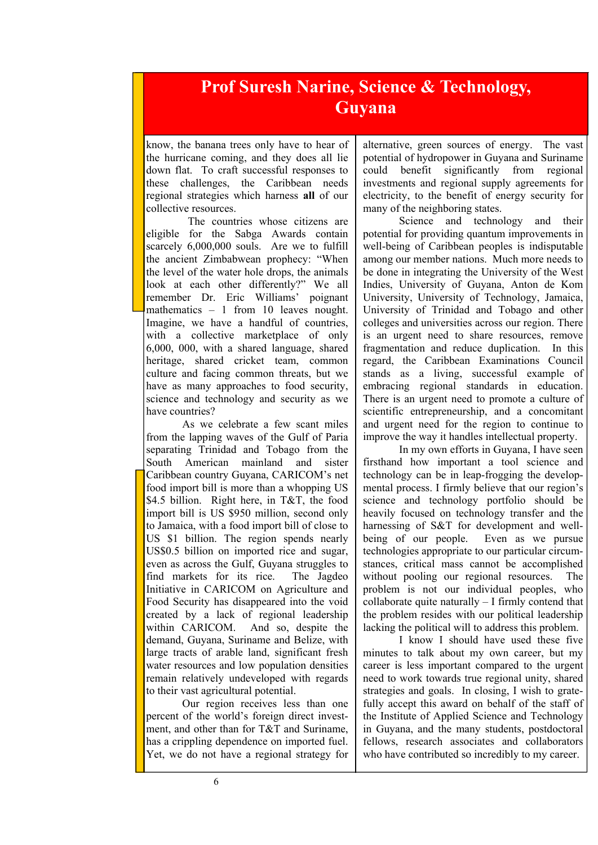#### **Prof Suresh Narine, Science & Technology, Guyana**

know, the banana trees only have to hear of the hurricane coming, and they does all lie down flat. To craft successful responses to these challenges, the Caribbean needs regional strategies which harness **all** of our collective resources.

 The countries whose citizens are eligible for the Sabga Awards contain scarcely 6,000,000 souls. Are we to fulfill the ancient Zimbabwean prophecy: "When the level of the water hole drops, the animals look at each other differently?" We all remember Dr. Eric Williams' poignant mathematics – 1 from 10 leaves nought. Imagine, we have a handful of countries, with a collective marketplace of only 6,000, 000, with a shared language, shared heritage, shared cricket team, common culture and facing common threats, but we have as many approaches to food security, science and technology and security as we have countries?

As we celebrate a few scant miles from the lapping waves of the Gulf of Paria separating Trinidad and Tobago from the South American mainland and sister Caribbean country Guyana, CARICOM's net food import bill is more than a whopping US \$4.5 billion. Right here, in T&T, the food import bill is US \$950 million, second only to Jamaica, with a food import bill of close to US \$1 billion. The region spends nearly US\$0.5 billion on imported rice and sugar, even as across the Gulf, Guyana struggles to find markets for its rice. The Jagdeo Initiative in CARICOM on Agriculture and Food Security has disappeared into the void created by a lack of regional leadership within CARICOM. And so, despite the demand, Guyana, Suriname and Belize, with large tracts of arable land, significant fresh water resources and low population densities remain relatively undeveloped with regards to their vast agricultural potential.

Our region receives less than one percent of the world's foreign direct investment, and other than for T&T and Suriname, has a crippling dependence on imported fuel. Yet, we do not have a regional strategy for

alternative, green sources of energy. The vast potential of hydropower in Guyana and Suriname could benefit significantly from regional investments and regional supply agreements for electricity, to the benefit of energy security for many of the neighboring states.

Science and technology and their potential for providing quantum improvements in well-being of Caribbean peoples is indisputable among our member nations. Much more needs to be done in integrating the University of the West Indies, University of Guyana, Anton de Kom University, University of Technology, Jamaica, University of Trinidad and Tobago and other colleges and universities across our region. There is an urgent need to share resources, remove fragmentation and reduce duplication. In this regard, the Caribbean Examinations Council stands as a living, successful example of embracing regional standards in education. There is an urgent need to promote a culture of scientific entrepreneurship, and a concomitant and urgent need for the region to continue to improve the way it handles intellectual property.

In my own efforts in Guyana, I have seen firsthand how important a tool science and technology can be in leap-frogging the developmental process. I firmly believe that our region's science and technology portfolio should be heavily focused on technology transfer and the harnessing of S&T for development and wellbeing of our people. Even as we pursue technologies appropriate to our particular circumstances, critical mass cannot be accomplished without pooling our regional resources. The problem is not our individual peoples, who collaborate quite naturally – I firmly contend that the problem resides with our political leadership lacking the political will to address this problem.

I know I should have used these five minutes to talk about my own career, but my career is less important compared to the urgent need to work towards true regional unity, shared strategies and goals. In closing, I wish to gratefully accept this award on behalf of the staff of the Institute of Applied Science and Technology in Guyana, and the many students, postdoctoral fellows, research associates and collaborators who have contributed so incredibly to my career.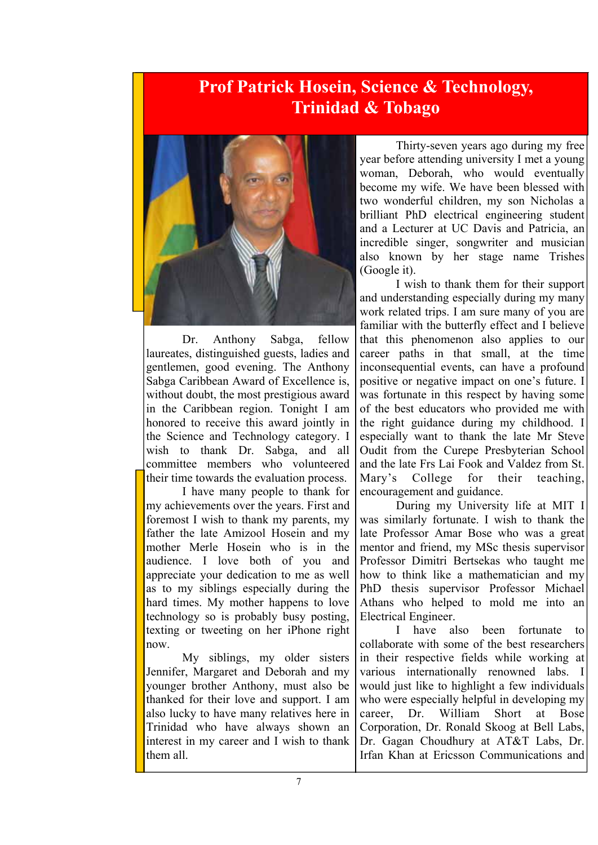### **Prof Patrick Hosein, Science & Technology, Trinidad & Tobago**



Dr. Anthony Sabga, fellow laureates, distinguished guests, ladies and gentlemen, good evening. The Anthony Sabga Caribbean Award of Excellence is, without doubt, the most prestigious award in the Caribbean region. Tonight I am honored to receive this award jointly in the Science and Technology category. I wish to thank Dr. Sabga, and all committee members who volunteered their time towards the evaluation process.

 I have many people to thank for my achievements over the years. First and foremost I wish to thank my parents, my father the late Amizool Hosein and my mother Merle Hosein who is in the audience. I love both of you and appreciate your dedication to me as well as to my siblings especially during the hard times. My mother happens to love technology so is probably busy posting, texting or tweeting on her iPhone right now.

 My siblings, my older sisters Jennifer, Margaret and Deborah and my younger brother Anthony, must also be thanked for their love and support. I am also lucky to have many relatives here in Trinidad who have always shown an interest in my career and I wish to thank them all.

 Thirty-seven years ago during my free year before attending university I met a young woman, Deborah, who would eventually become my wife. We have been blessed with two wonderful children, my son Nicholas a brilliant PhD electrical engineering student and a Lecturer at UC Davis and Patricia, an incredible singer, songwriter and musician also known by her stage name Trishes (Google it).

 I wish to thank them for their support and understanding especially during my many work related trips. I am sure many of you are familiar with the butterfly effect and I believe that this phenomenon also applies to our career paths in that small, at the time inconsequential events, can have a profound positive or negative impact on one's future. I was fortunate in this respect by having some of the best educators who provided me with the right guidance during my childhood. I especially want to thank the late Mr Steve Oudit from the Curepe Presbyterian School and the late Frs Lai Fook and Valdez from St. Mary's College for their teaching, encouragement and guidance.

 During my University life at MIT I was similarly fortunate. I wish to thank the late Professor Amar Bose who was a great mentor and friend, my MSc thesis supervisor Professor Dimitri Bertsekas who taught me how to think like a mathematician and my PhD thesis supervisor Professor Michael Athans who helped to mold me into an Electrical Engineer.

 I have also been fortunate to collaborate with some of the best researchers in their respective fields while working at various internationally renowned labs. I would just like to highlight a few individuals who were especially helpful in developing my career, Dr. William Short at Bose Corporation, Dr. Ronald Skoog at Bell Labs, Dr. Gagan Choudhury at AT&T Labs, Dr. Irfan Khan at Ericsson Communications and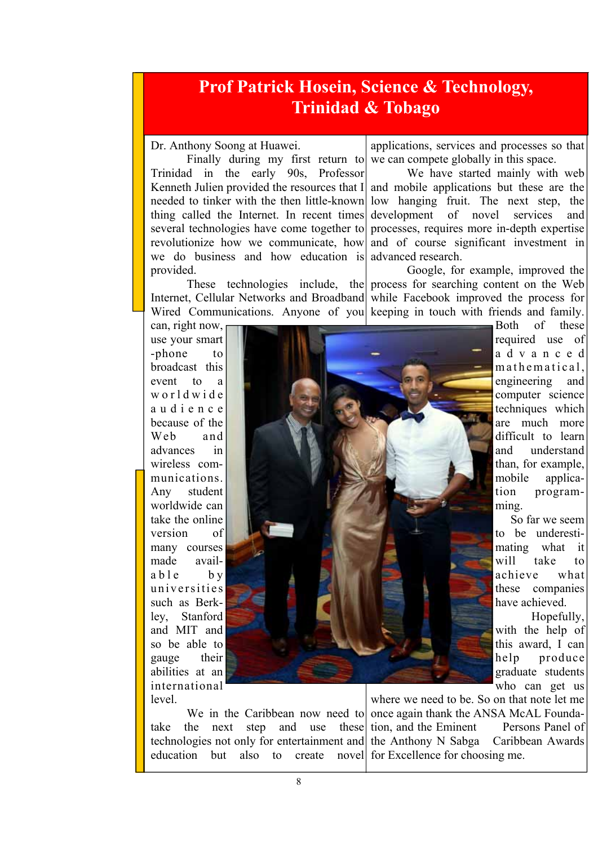#### **Prof Patrick Hosein, Science & Technology, Trinidad & Tobago**

#### Dr. Anthony Soong at Huawei.

 Finally during my first return to Trinidad in the early 90s, Professor Kenneth Julien provided the resources that I thing called the Internet. In recent times several technologies have come together to revolutionize how we communicate, how we do business and how education is advanced research. provided.

Internet, Cellular Networks and Broadband

applications, services and processes so that we can compete globally in this space.

needed to tinker with the then little-known low hanging fruit. The next step, the We have started mainly with web and mobile applications but these are the development of novel services and processes, requires more in-depth expertise and of course significant investment in

These technologies include, the process for searching content on the Web Wired Communications. Anyone of you keeping in touch with friends and family. Google, for example, improved the while Facebook improved the process for

can, right now, use your smart -phone to broadcast this event to a w o r l d w i d e a u d i e n c e because of the Web and advances in wireless communications. Any student worldwide can take the online version of many courses made avail $ab$  le by universities such as Berkley, Stanford and MIT and so be able to gauge their abilities at an international level.



Both of these required use of a d v a n c e d m a them atical. engineering and computer science techniques which are much more difficult to learn and understand than, for example, mobile application programming.

 So far we seem to be underestimating what it will take to achieve what these companies have achieved.

 Hopefully, with the help of this award, I can help produce graduate students who can get us

education but also to create novel for Excellence for choosing me.

We in the Caribbean now need to once again thank the ANSA McAL Foundatake the next step and use these tion, and the Eminent Persons Panel of technologies not only for entertainment and the Anthony N Sabga Caribbean Awards where we need to be. So on that note let me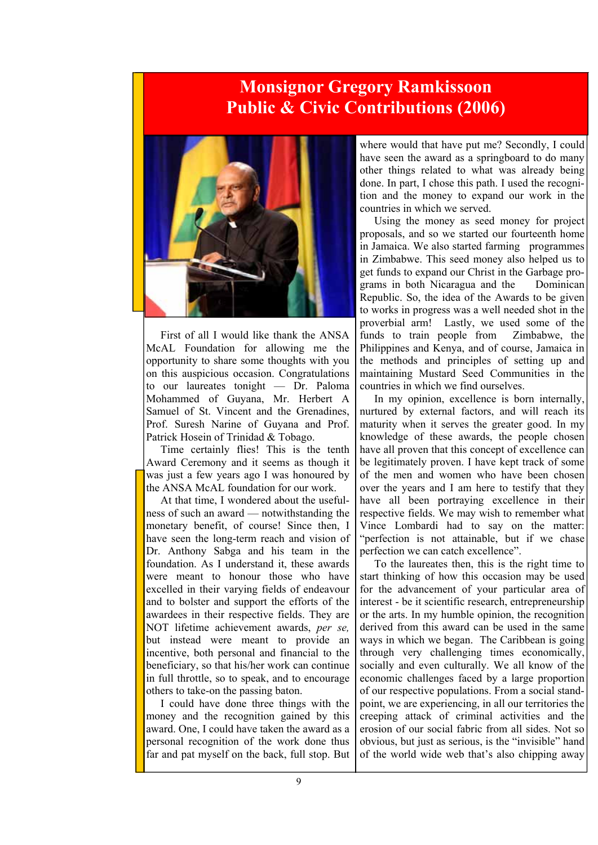#### **Monsignor Gregory Ramkissoon Public & Civic Contributions (2006)**



First of all I would like thank the ANSA McAL Foundation for allowing me the opportunity to share some thoughts with you on this auspicious occasion. Congratulations to our laureates tonight — Dr. Paloma Mohammed of Guyana, Mr. Herbert A Samuel of St. Vincent and the Grenadines, Prof. Suresh Narine of Guyana and Prof. Patrick Hosein of Trinidad & Tobago.

Time certainly flies! This is the tenth Award Ceremony and it seems as though it was just a few years ago I was honoured by the ANSA McAL foundation for our work.

At that time, I wondered about the usefulness of such an award — notwithstanding the monetary benefit, of course! Since then, I have seen the long-term reach and vision of Dr. Anthony Sabga and his team in the foundation. As I understand it, these awards were meant to honour those who have excelled in their varying fields of endeavour and to bolster and support the efforts of the awardees in their respective fields. They are NOT lifetime achievement awards, *per se,*  but instead were meant to provide an incentive, both personal and financial to the beneficiary, so that his/her work can continue in full throttle, so to speak, and to encourage others to take-on the passing baton.

I could have done three things with the money and the recognition gained by this award. One, I could have taken the award as a personal recognition of the work done thus far and pat myself on the back, full stop. But

where would that have put me? Secondly, I could have seen the award as a springboard to do many other things related to what was already being done. In part, I chose this path. I used the recognition and the money to expand our work in the countries in which we served.

Using the money as seed money for project proposals, and so we started our fourteenth home in Jamaica. We also started farming programmes in Zimbabwe. This seed money also helped us to get funds to expand our Christ in the Garbage programs in both Nicaragua and the Dominican Republic. So, the idea of the Awards to be given to works in progress was a well needed shot in the proverbial arm! Lastly, we used some of the funds to train people from Zimbabwe, the Philippines and Kenya, and of course, Jamaica in the methods and principles of setting up and maintaining Mustard Seed Communities in the countries in which we find ourselves.

In my opinion, excellence is born internally, nurtured by external factors, and will reach its maturity when it serves the greater good. In my knowledge of these awards, the people chosen have all proven that this concept of excellence can be legitimately proven. I have kept track of some of the men and women who have been chosen over the years and I am here to testify that they have all been portraying excellence in their respective fields. We may wish to remember what Vince Lombardi had to say on the matter: "perfection is not attainable, but if we chase perfection we can catch excellence".

To the laureates then, this is the right time to start thinking of how this occasion may be used for the advancement of your particular area of interest - be it scientific research, entrepreneurship or the arts. In my humble opinion, the recognition derived from this award can be used in the same ways in which we began. The Caribbean is going through very challenging times economically, socially and even culturally. We all know of the economic challenges faced by a large proportion of our respective populations. From a social standpoint, we are experiencing, in all our territories the creeping attack of criminal activities and the erosion of our social fabric from all sides. Not so obvious, but just as serious, is the "invisible" hand of the world wide web that's also chipping away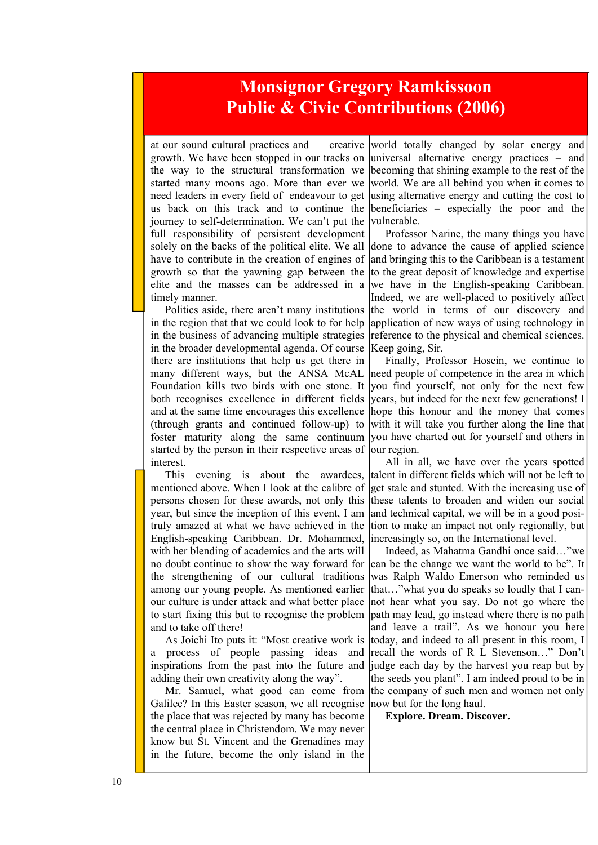#### **Monsignor Gregory Ramkissoon Public & Civic Contributions (2006)**

at our sound cultural practices and creative growth. We have been stopped in our tracks on the way to the structural transformation we started many moons ago. More than ever we need leaders in every field of endeavour to get us back on this track and to continue the journey to self-determination. We can't put the full responsibility of persistent development solely on the backs of the political elite. We all have to contribute in the creation of engines of growth so that the yawning gap between the elite and the masses can be addressed in a timely manner.

Politics aside, there aren't many institutions in the region that that we could look to for help in the business of advancing multiple strategies in the broader developmental agenda. Of course there are institutions that help us get there in many different ways, but the ANSA McAL Foundation kills two birds with one stone. It both recognises excellence in different fields and at the same time encourages this excellence (through grants and continued follow-up) to foster maturity along the same continuum started by the person in their respective areas of interest.

This evening is about the awardees, mentioned above. When I look at the calibre of persons chosen for these awards, not only this year, but since the inception of this event, I am truly amazed at what we have achieved in the English-speaking Caribbean. Dr. Mohammed, with her blending of academics and the arts will no doubt continue to show the way forward for the strengthening of our cultural traditions among our young people. As mentioned earlier our culture is under attack and what better place to start fixing this but to recognise the problem and to take off there!

As Joichi Ito puts it: "Most creative work is process of people passing ideas and inspirations from the past into the future and adding their own creativity along the way".

Galilee? In this Easter season, we all recognise the place that was rejected by many has become the central place in Christendom. We may never know but St. Vincent and the Grenadines may in the future, become the only island in the

world totally changed by solar energy and universal alternative energy practices – and becoming that shining example to the rest of the world. We are all behind you when it comes to using alternative energy and cutting the cost to beneficiaries – especially the poor and the vulnerable.

Professor Narine, the many things you have done to advance the cause of applied science and bringing this to the Caribbean is a testament to the great deposit of knowledge and expertise we have in the English-speaking Caribbean. Indeed, we are well-placed to positively affect the world in terms of our discovery and application of new ways of using technology in reference to the physical and chemical sciences. Keep going, Sir.

Finally, Professor Hosein, we continue to need people of competence in the area in which you find yourself, not only for the next few years, but indeed for the next few generations! I hope this honour and the money that comes with it will take you further along the line that you have charted out for yourself and others in our region.

All in all, we have over the years spotted talent in different fields which will not be left to get stale and stunted. With the increasing use of these talents to broaden and widen our social and technical capital, we will be in a good position to make an impact not only regionally, but increasingly so, on the International level.

Mr. Samuel, what good can come from the company of such men and women not only Indeed, as Mahatma Gandhi once said…"we can be the change we want the world to be". It was Ralph Waldo Emerson who reminded us that…"what you do speaks so loudly that I cannot hear what you say. Do not go where the path may lead, go instead where there is no path and leave a trail". As we honour you here today, and indeed to all present in this room, I recall the words of R L Stevenson…" Don't judge each day by the harvest you reap but by the seeds you plant". I am indeed proud to be in now but for the long haul.

**Explore. Dream. Discover.**